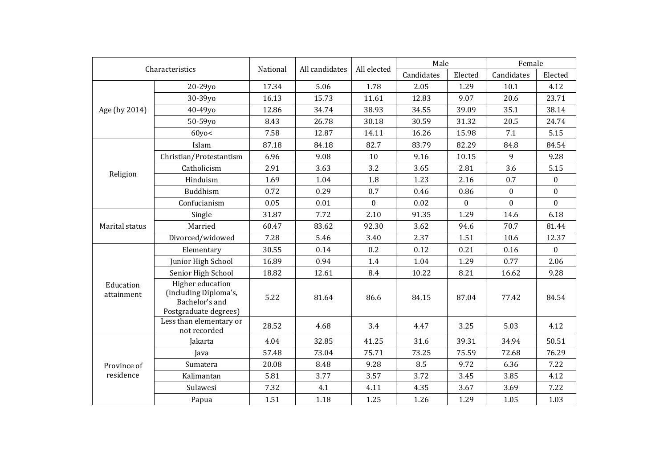| Characteristics          |                                                                                             | National | All candidates | All elected      | Male       |              | Female           |                  |
|--------------------------|---------------------------------------------------------------------------------------------|----------|----------------|------------------|------------|--------------|------------------|------------------|
|                          |                                                                                             |          |                |                  | Candidates | Elected      | Candidates       | Elected          |
| Age (by 2014)            | 20-29yo                                                                                     | 17.34    | 5.06           | 1.78             | 2.05       | 1.29         | 10.1             | 4.12             |
|                          | 30-39yo                                                                                     | 16.13    | 15.73          | 11.61            | 12.83      | 9.07         | 20.6             | 23.71            |
|                          | 40-49yo                                                                                     | 12.86    | 34.74          | 38.93            | 34.55      | 39.09        | 35.1             | 38.14            |
|                          | 50-59yo                                                                                     | 8.43     | 26.78          | 30.18            | 30.59      | 31.32        | 20.5             | 24.74            |
|                          | $60y$ o<                                                                                    | 7.58     | 12.87          | 14.11            | 16.26      | 15.98        | 7.1              | 5.15             |
| Religion                 | Islam                                                                                       | 87.18    | 84.18          | 82.7             | 83.79      | 82.29        | 84.8             | 84.54            |
|                          | Christian/Protestantism                                                                     | 6.96     | 9.08           | 10               | 9.16       | 10.15        | 9                | 9.28             |
|                          | Catholicism                                                                                 | 2.91     | 3.63           | 3.2              | 3.65       | 2.81         | 3.6              | 5.15             |
|                          | Hinduism                                                                                    | 1.69     | 1.04           | 1.8              | 1.23       | 2.16         | 0.7              | $\bf{0}$         |
|                          | Buddhism                                                                                    | 0.72     | 0.29           | 0.7              | 0.46       | 0.86         | $\boldsymbol{0}$ | $\mathbf{0}$     |
|                          | Confucianism                                                                                | 0.05     | 0.01           | $\boldsymbol{0}$ | 0.02       | $\mathbf{0}$ | $\boldsymbol{0}$ | $\boldsymbol{0}$ |
| Marital status           | Single                                                                                      | 31.87    | 7.72           | 2.10             | 91.35      | 1.29         | 14.6             | 6.18             |
|                          | Married                                                                                     | 60.47    | 83.62          | 92.30            | 3.62       | 94.6         | 70.7             | 81.44            |
|                          | Divorced/widowed                                                                            | 7.28     | 5.46           | 3.40             | 2.37       | 1.51         | 10.6             | 12.37            |
| Education<br>attainment  | Elementary                                                                                  | 30.55    | 0.14           | 0.2              | 0.12       | 0.21         | 0.16             | $\Omega$         |
|                          | Junior High School                                                                          | 16.89    | 0.94           | 1.4              | 1.04       | 1.29         | 0.77             | 2.06             |
|                          | Senior High School                                                                          | 18.82    | 12.61          | 8.4              | 10.22      | 8.21         | 16.62            | 9.28             |
|                          | <b>Higher education</b><br>(including Diploma's,<br>Bachelor's and<br>Postgraduate degrees) | 5.22     | 81.64          | 86.6             | 84.15      | 87.04        | 77.42            | 84.54            |
|                          | Less than elementary or<br>not recorded                                                     | 28.52    | 4.68           | 3.4              | 4.47       | 3.25         | 5.03             | 4.12             |
| Province of<br>residence | Jakarta                                                                                     | 4.04     | 32.85          | 41.25            | 31.6       | 39.31        | 34.94            | 50.51            |
|                          | Java                                                                                        | 57.48    | 73.04          | 75.71            | 73.25      | 75.59        | 72.68            | 76.29            |
|                          | Sumatera                                                                                    | 20.08    | 8.48           | 9.28             | 8.5        | 9.72         | 6.36             | 7.22             |
|                          | Kalimantan                                                                                  | 5.81     | 3.77           | 3.57             | 3.72       | 3.45         | 3.85             | 4.12             |
|                          | Sulawesi                                                                                    | 7.32     | 4.1            | 4.11             | 4.35       | 3.67         | 3.69             | 7.22             |
|                          | Papua                                                                                       | 1.51     | 1.18           | 1.25             | 1.26       | 1.29         | 1.05             | 1.03             |